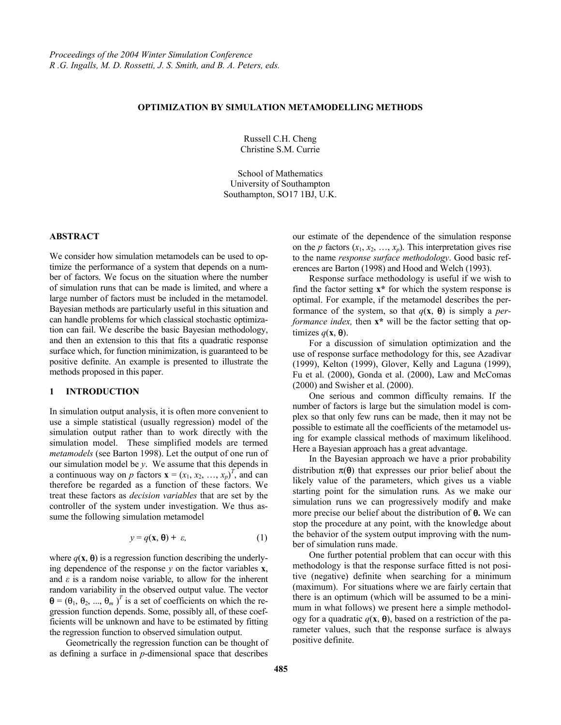# **OPTIMIZATION BY SIMULATION METAMODELLING METHODS**

Russell C.H. Cheng Christine S.M. Currie

School of Mathematics University of Southampton Southampton, SO17 1BJ, U.K.

### **ABSTRACT**

We consider how simulation metamodels can be used to optimize the performance of a system that depends on a number of factors. We focus on the situation where the number of simulation runs that can be made is limited, and where a large number of factors must be included in the metamodel. Bayesian methods are particularly useful in this situation and can handle problems for which classical stochastic optimization can fail. We describe the basic Bayesian methodology, and then an extension to this that fits a quadratic response surface which, for function minimization, is guaranteed to be positive definite. An example is presented to illustrate the methods proposed in this paper.

# **1 INTRODUCTION**

In simulation output analysis, it is often more convenient to use a simple statistical (usually regression) model of the simulation output rather than to work directly with the simulation model. These simplified models are termed *metamodels* (see Barton 1998). Let the output of one run of our simulation model be *y*. We assume that this depends in a continuous way on p factors  $\mathbf{x} = (x_1, x_2, ..., x_p)^T$ , and can therefore be regarded as a function of these factors. We treat these factors as *decision variables* that are set by the controller of the system under investigation. We thus assume the following simulation metamodel

$$
y = q(\mathbf{x}, \mathbf{\Theta}) + \varepsilon, \tag{1}
$$

where  $q(\mathbf{x}, \boldsymbol{\theta})$  is a regression function describing the underlying dependence of the response  $v$  on the factor variables  $\bf{x}$ , and  $\varepsilon$  is a random noise variable, to allow for the inherent random variability in the observed output value. The vector  $\mathbf{\Theta} = (\theta_1, \theta_2, ..., \theta_m)^T$  is a set of coefficients on which the regression function depends. Some, possibly all, of these coefficients will be unknown and have to be estimated by fitting the regression function to observed simulation output.

Geometrically the regression function can be thought of as defining a surface in *p*-dimensional space that describes our estimate of the dependence of the simulation response on the *p* factors  $(x_1, x_2, \ldots, x_p)$ . This interpretation gives rise to the name *response surface methodology*. Good basic references are Barton (1998) and Hood and Welch (1993).

Response surface methodology is useful if we wish to find the factor setting **x\*** for which the system response is optimal. For example, if the metamodel describes the performance of the system, so that  $q(x, \theta)$  is simply a *performance index,* then **x\*** will be the factor setting that optimizes  $q(\mathbf{x}, \boldsymbol{\theta})$ .

For a discussion of simulation optimization and the use of response surface methodology for this, see Azadivar (1999), Kelton (1999), Glover, Kelly and Laguna (1999), Fu et al. (2000), Gonda et al. (2000), Law and McComas (2000) and Swisher et al. (2000).

One serious and common difficulty remains. If the number of factors is large but the simulation model is complex so that only few runs can be made, then it may not be possible to estimate all the coefficients of the metamodel using for example classical methods of maximum likelihood. Here a Bayesian approach has a great advantage.

In the Bayesian approach we have a prior probability distribution  $\pi(\theta)$  that expresses our prior belief about the likely value of the parameters, which gives us a viable starting point for the simulation runs*.* As we make our simulation runs we can progressively modify and make more precise our belief about the distribution of θ**.** We can stop the procedure at any point, with the knowledge about the behavior of the system output improving with the number of simulation runs made.

One further potential problem that can occur with this methodology is that the response surface fitted is not positive (negative) definite when searching for a minimum (maximum). For situations where we are fairly certain that there is an optimum (which will be assumed to be a minimum in what follows) we present here a simple methodology for a quadratic  $q(\mathbf{x}, \boldsymbol{\theta})$ , based on a restriction of the parameter values, such that the response surface is always positive definite.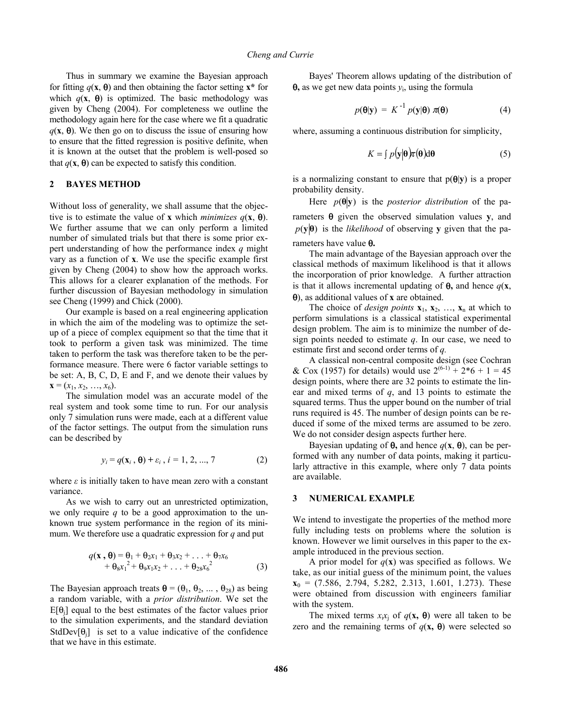Thus in summary we examine the Bayesian approach for fitting  $q(\mathbf{x}, \boldsymbol{\theta})$  and then obtaining the factor setting  $\mathbf{x}^*$  for which  $q(x, \theta)$  is optimized. The basic methodology was given by Cheng (2004). For completeness we outline the methodology again here for the case where we fit a quadratic  $q(x, \theta)$ . We then go on to discuss the issue of ensuring how to ensure that the fitted regression is positive definite, when it is known at the outset that the problem is well-posed so that  $q(\mathbf{x}, \boldsymbol{\theta})$  can be expected to satisfy this condition.

#### **2 BAYES METHOD**

Without loss of generality, we shall assume that the objective is to estimate the value of **x** which *minimizes*  $q(\mathbf{x}, \boldsymbol{\theta})$ . We further assume that we can only perform a limited number of simulated trials but that there is some prior expert understanding of how the performance index *q* might vary as a function of **x**. We use the specific example first given by Cheng (2004) to show how the approach works. This allows for a clearer explanation of the methods. For further discussion of Bayesian methodology in simulation see Cheng (1999) and Chick (2000).

Our example is based on a real engineering application in which the aim of the modeling was to optimize the setup of a piece of complex equipment so that the time that it took to perform a given task was minimized. The time taken to perform the task was therefore taken to be the performance measure. There were 6 factor variable settings to be set: A, B, C, D, E and F, and we denote their values by  $\mathbf{x} = (x_1, x_2, \ldots, x_6).$ 

The simulation model was an accurate model of the real system and took some time to run. For our analysis only 7 simulation runs were made, each at a different value of the factor settings. The output from the simulation runs can be described by

$$
y_i = q(\mathbf{x}_i, \boldsymbol{\theta}) + \varepsilon_i, i = 1, 2, ..., 7
$$
 (2)

where  $\varepsilon$  is initially taken to have mean zero with a constant variance.

As we wish to carry out an unrestricted optimization, we only require *q* to be a good approximation to the unknown true system performance in the region of its minimum. We therefore use a quadratic expression for *q* and put

$$
q(\mathbf{x}, \boldsymbol{\theta}) = \theta_1 + \theta_2 x_1 + \theta_3 x_2 + \dots + \theta_7 x_6
$$
  
+ 
$$
\theta_8 x_1^2 + \theta_9 x_1 x_2 + \dots + \theta_{28} x_6^2
$$
 (3)

The Bayesian approach treats  $\mathbf{\theta} = (\theta_1, \theta_2, ..., \theta_{28})$  as being a random variable, with a *prior distribution*. We set the  $E[\theta_i]$  equal to the best estimates of the factor values prior to the simulation experiments, and the standard deviation StdDev $[\theta_i]$  is set to a value indicative of the confidence that we have in this estimate.

Bayes' Theorem allows updating of the distribution of  $\theta$ , as we get new data points  $y_i$ , using the formula

$$
p(\mathbf{\theta}|\mathbf{y}) = K^{-1} p(\mathbf{y}|\mathbf{\theta}) \pi(\mathbf{\theta})
$$
 (4)

where, assuming a continuous distribution for simplicity,

$$
K = \int p(\mathbf{y}|\mathbf{\theta})\pi(\mathbf{\theta})d\mathbf{\theta}
$$
 (5)

is a normalizing constant to ensure that  $p(\theta|\mathbf{v})$  is a proper probability density.

Here  $p(\theta|\mathbf{y})$  is the *posterior distribution* of the parameters θ given the observed simulation values **y**, and  $p(y|\theta)$  is the *likelihood* of observing y given that the parameters have value θ**.**

The main advantage of the Bayesian approach over the classical methods of maximum likelihood is that it allows the incorporation of prior knowledge. A further attraction is that it allows incremental updating of  $\theta$ , and hence  $q(\mathbf{x})$ , θ), as additional values of **x** are obtained.

The choice of *design points*  $\mathbf{x}_1, \mathbf{x}_2, \ldots, \mathbf{x}_n$  at which to perform simulations is a classical statistical experimental design problem. The aim is to minimize the number of design points needed to estimate *q*. In our case, we need to estimate first and second order terms of *q.* 

A classical non-central composite design (see Cochran & Cox (1957) for details) would use  $2^{(6-1)} + 2*6 + 1 = 45$ design points, where there are 32 points to estimate the linear and mixed terms of *q*, and 13 points to estimate the squared terms. Thus the upper bound on the number of trial runs required is 45. The number of design points can be reduced if some of the mixed terms are assumed to be zero. We do not consider design aspects further here.

Bayesian updating of  $\theta$ , and hence  $q(\mathbf{x}, \theta)$ , can be performed with any number of data points, making it particularly attractive in this example, where only 7 data points are available.

#### **3 NUMERICAL EXAMPLE**

We intend to investigate the properties of the method more fully including tests on problems where the solution is known. However we limit ourselves in this paper to the example introduced in the previous section.

A prior model for  $q(\mathbf{x})$  was specified as follows. We take, as our initial guess of the minimum point, the values **x**0 = (7.586, 2.794, 5.282, 2.313, 1.601, 1.273). These were obtained from discussion with engineers familiar with the system.

The mixed terms  $x_i x_i$  of  $q(\mathbf{x}, \boldsymbol{\theta})$  were all taken to be zero and the remaining terms of  $q(\mathbf{x}, \boldsymbol{\theta})$  were selected so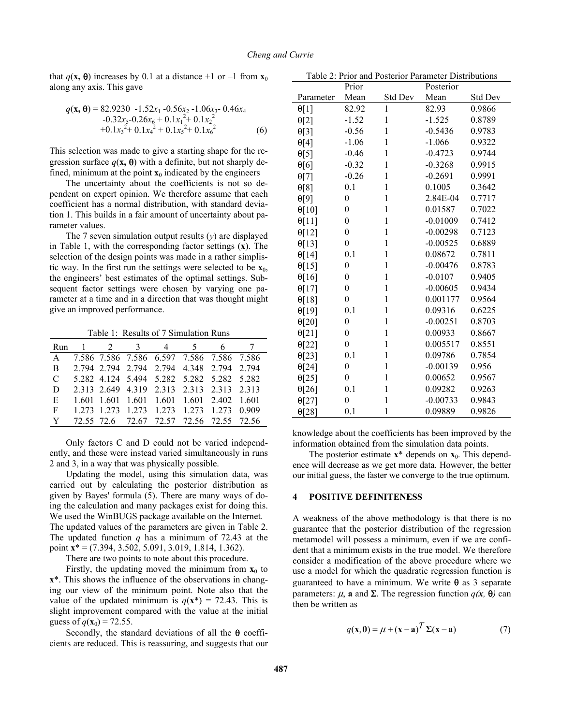that  $q(\mathbf{x}, \boldsymbol{\theta})$  increases by 0.1 at a distance +1 or -1 from  $\mathbf{x}_0$ along any axis. This gave

$$
q(\mathbf{x}, \mathbf{\Theta}) = 82.9230 - 1.52x_1 - 0.56x_2 - 1.06x_3 - 0.46x_4 -0.32x_5 - 0.26x_6 + 0.1x_1^2 + 0.1x_2^2 +0.1x_3^2 + 0.1x_4^2 + 0.1x_5^2 + 0.1x_6^2
$$
 (6)

This selection was made to give a starting shape for the regression surface  $q(x, \theta)$  with a definite, but not sharply defined, minimum at the point  $\mathbf{x}_0$  indicated by the engineers

The uncertainty about the coefficients is not so dependent on expert opinion. We therefore assume that each coefficient has a normal distribution, with standard deviation 1. This builds in a fair amount of uncertainty about parameter values.

The 7 seven simulation output results (*y*) are displayed in Table 1, with the corresponding factor settings (**x**). The selection of the design points was made in a rather simplistic way. In the first run the settings were selected to be  $\mathbf{x}_0$ , the engineers' best estimates of the optimal settings. Subsequent factor settings were chosen by varying one parameter at a time and in a direction that was thought might give an improved performance.

Table 1: Results of 7 Simulation Runs

| Run           |  | $1 \t2 \t3 \t4 \t5$ | 6                                         |  |
|---------------|--|---------------------|-------------------------------------------|--|
| $\mathsf{A}$  |  |                     | 7.586 7.586 7.586 6.597 7.586 7.586 7.586 |  |
| B             |  |                     | 2.794 2.794 2.794 2.794 4.348 2.794 2.794 |  |
| $\mathcal{C}$ |  |                     | 5.282 4.124 5.494 5.282 5.282 5.282 5.282 |  |
| D             |  |                     | 2.313 2.649 4.319 2.313 2.313 2.313 2.313 |  |
| E             |  |                     | 1.601 1.601 1.601 1.601 1.601 2.402 1.601 |  |
| F             |  |                     | 1 273 1 273 1 273 1 273 1 273 1 273 0 909 |  |
| Y             |  |                     | 72.55 72.6 72.67 72.57 72.56 72.55 72.56  |  |

Only factors C and D could not be varied independently, and these were instead varied simultaneously in runs 2 and 3, in a way that was physically possible.

Updating the model, using this simulation data, was carried out by calculating the posterior distribution as given by Bayes' formula (5). There are many ways of doing the calculation and many packages exist for doing this. We used the WinBUGS package available on the Internet. The updated values of the parameters are given in Table 2. The updated function  $q$  has a minimum of 72.43 at the point **x**\* = (7.394, 3.502, 5.091, 3.019, 1.814, 1.362).

There are two points to note about this procedure.

Firstly, the updating moved the minimum from  $\mathbf{x}_0$  to **x**\*. This shows the influence of the observations in changing our view of the minimum point. Note also that the value of the updated minimum is  $q(\mathbf{x}^*) = 72.43$ . This is slight improvement compared with the value at the initial guess of  $q(\mathbf{x}_0) = 72.55$ .

Secondly, the standard deviations of all the  $\theta$  coefficients are reduced. This is reassuring, and suggests that our

Table 2: Prior and Posterior Parameter Distributions

|               | Prior            |              | Posterior  |         |  |
|---------------|------------------|--------------|------------|---------|--|
| Parameter     | Mean             | Std Dev      | Mean       | Std Dev |  |
| $\theta$ [1]  | 82.92            | $\mathbf{1}$ | 82.93      | 0.9866  |  |
| $\theta[2]$   | $-1.52$          | $\mathbf{1}$ | $-1.525$   | 0.8789  |  |
| $\Theta[3]$   | $-0.56$          | $\mathbf{1}$ | $-0.5436$  | 0.9783  |  |
| $\Theta[4]$   | $-1.06$          | $\,1$        | $-1.066$   | 0.9322  |  |
| $\Theta[5]$   | $-0.46$          | $\,1$        | $-0.4723$  | 0.9744  |  |
| $\Theta[6]$   | $-0.32$          | $\mathbf{1}$ | $-0.3268$  | 0.9915  |  |
| $\Theta[7]$   | $-0.26$          | $\mathbf{1}$ | $-0.2691$  | 0.9991  |  |
| $\Theta[8]$   | 0.1              | $\,1$        | 0.1005     | 0.3642  |  |
| $\theta[9]$   | $\boldsymbol{0}$ | $\,1$        | 2.84E-04   | 0.7717  |  |
| $\Theta[10]$  | $\boldsymbol{0}$ | $\mathbf{1}$ | 0.01587    | 0.7022  |  |
| $\Theta$ [11] | $\boldsymbol{0}$ | $\mathbf{1}$ | $-0.01009$ | 0.7412  |  |
| $\theta[12]$  | $\boldsymbol{0}$ | $\,1$        | $-0.00298$ | 0.7123  |  |
| $\theta$ [13] | $\boldsymbol{0}$ | $\mathbf{1}$ | $-0.00525$ | 0.6889  |  |
| $\theta[14]$  | 0.1              | $\mathbf{1}$ | 0.08672    | 0.7811  |  |
| $\theta$ [15] | $\boldsymbol{0}$ | $\mathbf{1}$ | $-0.00476$ | 0.8783  |  |
| $\theta[16]$  | $\boldsymbol{0}$ | $\,1$        | $-0.0107$  | 0.9405  |  |
| $\Theta[17]$  | $\boldsymbol{0}$ | $\mathbf{1}$ | $-0.00605$ | 0.9434  |  |
| $\Theta$ [18] | $\boldsymbol{0}$ | $\mathbf{1}$ | 0.001177   | 0.9564  |  |
| $\theta$ [19] | 0.1              | $\mathbf{1}$ | 0.09316    | 0.6225  |  |
| $\Theta$ [20] | $\boldsymbol{0}$ | $\,1$        | $-0.00251$ | 0.8703  |  |
| $\Theta[21]$  | $\boldsymbol{0}$ | $\mathbf{1}$ | 0.00933    | 0.8667  |  |
| $\theta$ [22] | $\boldsymbol{0}$ | $\mathbf{1}$ | 0.005517   | 0.8551  |  |
| $\Theta$ [23] | 0.1              | $\mathbf{1}$ | 0.09786    | 0.7854  |  |
| $\Theta[24]$  | $\boldsymbol{0}$ | $\,1$        | $-0.00139$ | 0.956   |  |
| $\Theta$ [25] | $\boldsymbol{0}$ | $\mathbf{1}$ | 0.00652    | 0.9567  |  |
| $\Theta$ [26] | 0.1              | $\mathbf{1}$ | 0.09282    | 0.9263  |  |
| $\Theta[27]$  | $\boldsymbol{0}$ | $\,1$        | $-0.00733$ | 0.9843  |  |
| $\Theta$ [28] | 0.1              | $\mathbf{1}$ | 0.09889    | 0.9826  |  |

knowledge about the coefficients has been improved by the information obtained from the simulation data points.

The posterior estimate  $x^*$  depends on  $x_0$ . This dependence will decrease as we get more data. However, the better our initial guess, the faster we converge to the true optimum.

### **4 POSITIVE DEFINITENESS**

A weakness of the above methodology is that there is no guarantee that the posterior distribution of the regression metamodel will possess a minimum, even if we are confident that a minimum exists in the true model. We therefore consider a modification of the above procedure where we use a model for which the quadratic regression function is guaranteed to have a minimum. We write  $\theta$  as 3 separate parameters: µ, **a** and Σ. The regression function *q(x,* θ*)* can then be written as

$$
q(\mathbf{x}, \mathbf{\theta}) = \mu + (\mathbf{x} - \mathbf{a})^T \Sigma(\mathbf{x} - \mathbf{a})
$$
 (7)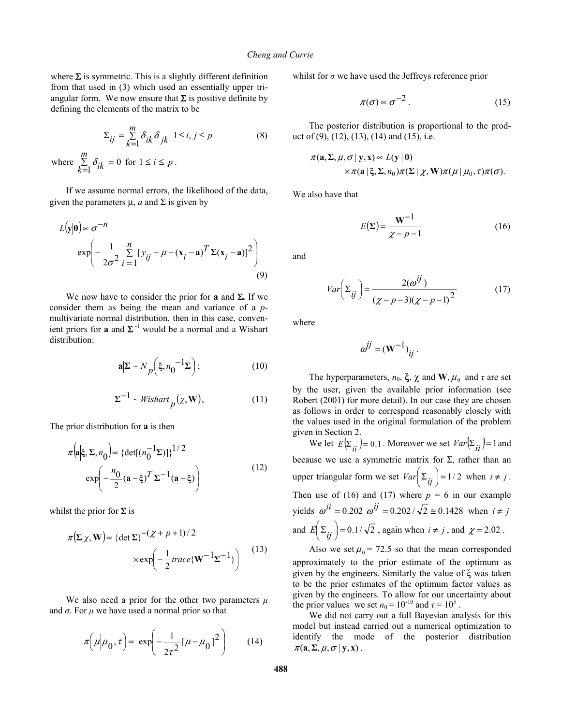where  $\Sigma$  is symmetric. This is a slightly different definition from that used in (3) which used an essentially upper triangular form. We now ensure that  $\Sigma$  is positive definite by defining the elements of the matrix to be

$$
\Sigma_{ij} = \sum_{k=1}^{m} \delta_{ik} \delta_{jk} \quad 1 \le i, j \le p
$$
\nwhere  $\sum_{k=1}^{m} \delta_{ik} = 0$  for  $1 \le i \le p$ .

\n(8)

If we assume normal errors, the likelihood of the data, given the parameters  $\mu$ , *a* and  $\Sigma$  is given by

$$
L(\mathbf{y}|\mathbf{\theta}) \propto \sigma^{-n}
$$
  
 
$$
\exp\left(-\frac{1}{2\sigma^2} \sum_{i=1}^{n} [y_{ij} - \mu - (\mathbf{x}_i - \mathbf{a})^T \Sigma(\mathbf{x}_i - \mathbf{a})]^2\right)
$$
 (9)

We now have to consider the prior for **a** and Σ**.** If we consider them as being the mean and variance of a *p*multivariate normal distribution, then in this case, convenient priors for **a** and  $\Sigma^{-1}$  would be a normal and a Wishart distribution:

$$
\mathbf{a}|\Sigma \sim N_p \left(\xi, n_0^{-1} \Sigma\right);\tag{10}
$$

$$
\Sigma^{-1} \sim \text{Wishart}_p(\chi, \mathbf{W}),\tag{11}
$$

The prior distribution for **a** is then

$$
\pi\left(\mathbf{a}|\xi, \Sigma, n_0\right) \propto \left\{\det[(n_0^{-1}\Sigma)]\right\}^{1/2}
$$

$$
\exp\left(-\frac{n_0}{2}(\mathbf{a}-\xi)^T\Sigma^{-1}(\mathbf{a}-\xi)\right) \tag{12}
$$

whilst the prior for  $\Sigma$  is

$$
\pi(\Sigma|\chi, \mathbf{W}) \propto \{ \det \Sigma \}^{-(\chi + p + 1)/2} \times \exp\left(-\frac{1}{2}trace\{\mathbf{W}^{-1}\Sigma^{-1}\}\right)
$$
(13)

We also need a prior for the other two parameters  $\mu$ and  $\sigma$ . For  $\mu$  we have used a normal prior so that

$$
\pi\left(\mu\middle|\mu_0,\tau\right) \propto \exp\left(-\frac{1}{2\tau^2}[\mu-\mu_0]^2\right) \tag{14}
$$

whilst for  $\sigma$  we have used the Jeffreys reference prior

$$
\pi(\sigma) \sim \sigma^{-2} \,. \tag{15}
$$

The posterior distribution is proportional to the product of  $(9)$ ,  $(12)$ ,  $(13)$ ,  $(14)$  and  $(15)$ , i.e.

$$
\pi(\mathbf{a}, \Sigma, \mu, \sigma | \mathbf{y}, \mathbf{x}) \propto L(\mathbf{y} | \mathbf{\theta})
$$
  
 
$$
\times \pi(\mathbf{a} | \xi, \Sigma, n_0) \pi(\Sigma | \chi, \mathbf{W}) \pi(\mu | \mu_0, \tau) \pi(\sigma).
$$

We also have that

$$
E(\Sigma) = \frac{\mathbf{W}^{-1}}{\chi - p - 1}
$$
 (16)

and

$$
Var\left(\Sigma_{ij}\right) = \frac{2(\omega^{ij})}{\left(\chi - p - 3\right)\left(\chi - p - 1\right)^2}
$$
 (17)

where

$$
\omega^{ij} = (\mathbf{W}^{-1})_{ij}.
$$

The hyperparameters,  $n_0$ ,  $\xi$ ,  $\chi$  and **W**,  $\mu_0$  and  $\tau$  are set by the user, given the available prior information (see Robert (2001) for more detail). In our case they are chosen as follows in order to correspond reasonably closely with the values used in the original formulation of the problem given in Section 2.

We let  $E(\Sigma_{ii}) = 0.1$ . Moreover we set  $Var(\Sigma_{ii}) = 1$  and because we use a symmetric matrix for  $\Sigma$ , rather than an upper triangular form we set  $Var\left(\sum_{ij}\right) = 1/2$  when  $i \neq j$ . Then use of (16) and (17) where  $p = 6$  in our example yields  $\omega^{ii}$  = 0.202  $\omega^{ij}$  = 0.202 /  $\sqrt{2}$  ≅ 0.1428 when *i* ≠ *j* and  $E\left(\sum_{ij}\right) = 0.1/\sqrt{2}$ , again when  $i \neq j$ , and  $\chi = 2.02$ .

Also we set  $\mu_0$  = 72.5 so that the mean corresponded approximately to the prior estimate of the optimum as given by the engineers. Similarly the value of ξ was taken to be the prior estimates of the optimum factor values as given by the engineers. To allow for our uncertainty about the prior values we set  $n_0 = 10^{-10}$  and  $\tau = 10^5$ .

We did not carry out a full Bayesian analysis for this model but instead carried out a numerical optimization to identify the mode of the posterior distribution  $\pi(\mathbf{a}, \Sigma, \mu, \sigma | \mathbf{y}, \mathbf{x})$ .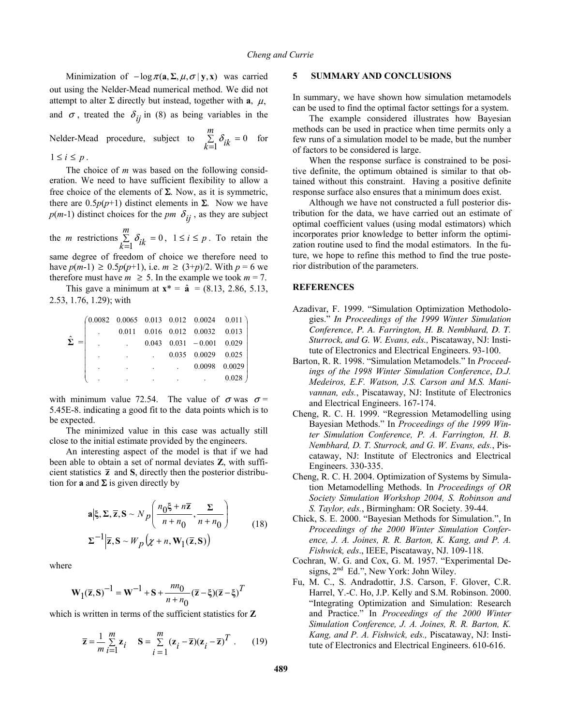Minimization of  $-\log \pi(\mathbf{a}, \Sigma, \mu, \sigma | \mathbf{y}, \mathbf{x})$  was carried out using the Nelder-Mead numerical method. We did not attempt to alter  $\Sigma$  directly but instead, together with **a**,  $\mu$ , and  $\sigma$ , treated the  $\delta_{ij}$  in (8) as being variables in the

Nelder-Mead procedure, subject to  $\Sigma$  $\sum_{k=1}^{m} \delta_{ik} = 0$  for  $1 \leq i \leq p$ .

The choice of *m* was based on the following consideration. We need to have sufficient flexibility to allow a free choice of the elements of  $\Sigma$ . Now, as it is symmetric, there are  $0.5p(p+1)$  distinct elements in  $\Sigma$ . Now we have  $p(m-1)$  distinct choices for the *pm*  $\delta_{ij}$ , as they are subject

the *m* restrictions ∑  $\sum_{k=1}^{m} \delta_{ik} = 0$ ,  $1 \le i \le p$ . To retain the same degree of freedom of choice we therefore need to have *p*(*m*-1) ≥ 0.5*p*(*p*+1), i.e. *m* ≥ (3+*p*)/2. With *p* = 6 we therefore must have  $m \geq 5$ . In the example we took  $m = 7$ .

This gave a minimum at  $x^* = \hat{a} = (8.13, 2.86, 5.13, ...)$ 2.53, 1.76, 1.29); with

|                  |  |  |               | $(0.0082 \t 0.0065 \t 0.013 \t 0.012 \t 0.0024 \t 0.011)$ |
|------------------|--|--|---------------|-----------------------------------------------------------|
| $\hat{\Sigma} =$ |  |  |               | $0.011$ $0.016$ $0.012$ $0.0032$ $0.013$                  |
|                  |  |  |               | $0.043$ $0.031$ $-0.001$ $0.029$                          |
|                  |  |  |               | $0.035$ $0.0029$ $0.025$                                  |
|                  |  |  | 0.0098 0.0029 |                                                           |
|                  |  |  |               | 0.028                                                     |

with minimum value 72.54. The value of  $\sigma$  was  $\sigma$  = 5.45E-8. indicating a good fit to the data points which is to be expected.

The minimized value in this case was actually still close to the initial estimate provided by the engineers.

An interesting aspect of the model is that if we had been able to obtain a set of normal deviates **Z**, with sufficient statistics  $\bar{z}$  and **S**, directly then the posterior distribution for **a** and  $\Sigma$  is given directly by

$$
\mathbf{a} \Big| \xi, \Sigma, \overline{\mathbf{z}}, \mathbf{S} \sim N_p \Bigg( \frac{n_0 \xi + n \overline{\mathbf{z}}}{n + n_0}, \frac{\Sigma}{n + n_0} \Bigg) \Bigg)
$$
\n
$$
\Sigma^{-1} \Big| \overline{\mathbf{z}}, \mathbf{S} \sim W_p \Big( \chi + n, \mathbf{W}_1(\overline{\mathbf{z}}, \mathbf{S}) \Big)
$$
\n(18)

where

$$
\mathbf{W}_1(\overline{\mathbf{z}}, \mathbf{S})^{-1} = \mathbf{W}^{-1} + \mathbf{S} + \frac{nn_0}{n + n_0} (\overline{\mathbf{z}} - \xi)(\overline{\mathbf{z}} - \xi)^T
$$

which is written in terms of the sufficient statistics for **Z** 

$$
\overline{\mathbf{z}} = \frac{1}{m} \sum_{i=1}^{m} \mathbf{z}_i \quad \mathbf{S} = \sum_{i=1}^{m} (\mathbf{z}_i - \overline{\mathbf{z}}) (\mathbf{z}_i - \overline{\mathbf{z}})^T . \quad (19)
$$

#### **5 SUMMARY AND CONCLUSIONS**

In summary, we have shown how simulation metamodels can be used to find the optimal factor settings for a system.

The example considered illustrates how Bayesian methods can be used in practice when time permits only a few runs of a simulation model to be made, but the number of factors to be considered is large.

When the response surface is constrained to be positive definite, the optimum obtained is similar to that obtained without this constraint. Having a positive definite response surface also ensures that a minimum does exist.

Although we have not constructed a full posterior distribution for the data, we have carried out an estimate of optimal coefficient values (using modal estimators) which incorporates prior knowledge to better inform the optimization routine used to find the modal estimators. In the future, we hope to refine this method to find the true posterior distribution of the parameters.

### **REFERENCES**

- Azadivar, F. 1999. "Simulation Optimization Methodologies." *In Proceedings of the 1999 Winter Simulation Conference, P. A. Farrington, H. B. Nembhard, D. T. Sturrock, and G. W. Evans, eds.,* Piscataway, NJ: Institute of Electronics and Electrical Engineers. 93-100.
- Barton, R. R. 1998. "Simulation Metamodels." In *Proceedings of the 1998 Winter Simulation Conference*, *D.J. Medeiros, E.F. Watson, J.S. Carson and M.S. Manivannan, eds.*, Piscataway, NJ: Institute of Electronics and Electrical Engineers. 167-174.
- Cheng, R. C. H. 1999. "Regression Metamodelling using Bayesian Methods." In *Proceedings of the 1999 Winter Simulation Conference, P. A. Farrington, H. B. Nembhard, D. T. Sturrock, and G. W. Evans, eds.*, Piscataway, NJ: Institute of Electronics and Electrical Engineers. 330-335.
- Cheng, R. C. H. 2004. Optimization of Systems by Simulation Metamodelling Methods. In *Proceedings of OR Society Simulation Workshop 2004, S. Robinson and S. Taylor, eds.*, Birmingham: OR Society. 39-44.
- Chick, S. E. 2000. "Bayesian Methods for Simulation.", In *Proceedings of the 2000 Winter Simulation Conference, J. A. Joines, R. R. Barton, K. Kang, and P. A. Fishwick, eds*., IEEE, Piscataway, NJ. 109-118.
- Cochran, W. G. and Cox, G. M. 1957. "Experimental Designs,  $2^{nd}$  Ed.", New York: John Wiley.
- Fu, M. C., S. Andradottir, J.S. Carson, F. Glover, C.R. Harrel, Y.-C. Ho, J.P. Kelly and S.M. Robinson. 2000. "Integrating Optimization and Simulation: Research and Practice." In *Proceedings of the 2000 Winter Simulation Conference, J. A. Joines, R. R. Barton, K. Kang, and P. A. Fishwick, eds.,* Piscataway, NJ: Institute of Electronics and Electrical Engineers. 610-616.